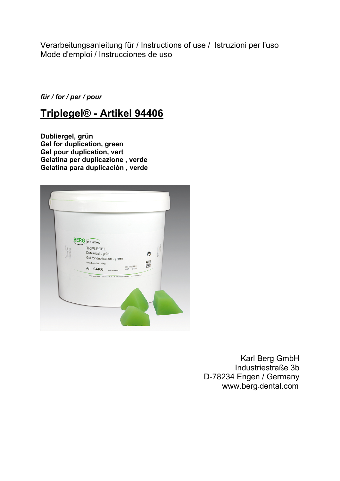Verarbeitungsanleitung für / Instructions of use / Istruzioni per l'uso Mode d'emploi / Instrucciones de uso

*für / for / per / pour*

# **Triplegel® - Artikel 94406**

**Dubliergel, grün Gel for duplication, green Gel pour duplication, vert Gelatina per duplicazione , verde Gelatina para duplicación , verde**



Karl Berg GmbH Industriestraße 3b D-78234 Engen / Germany www.berg-dental.com